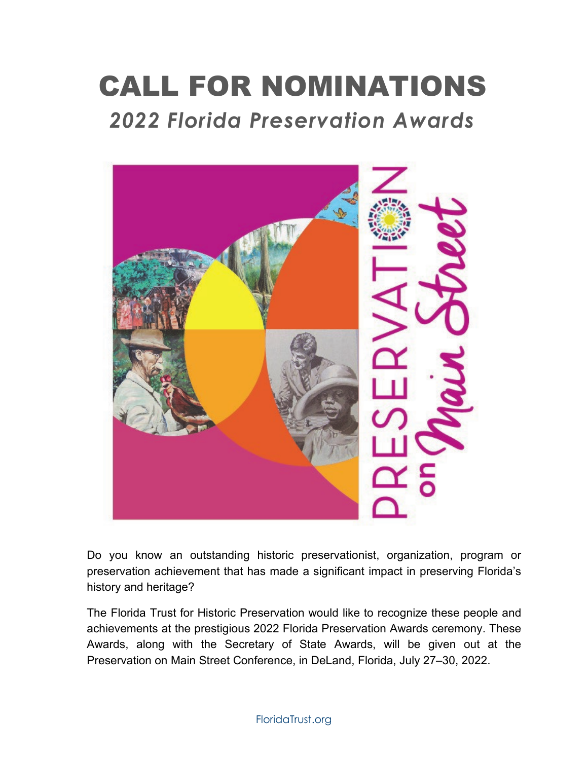# CALL FOR NOMINATIONS *2022 Florida Preservation Awards*



Do you know an outstanding historic preservationist, organization, program or preservation achievement that has made a significant impact in preserving Florida's history and heritage?

The Florida Trust for Historic Preservation would like to recognize these people and achievements at the prestigious 2022 Florida Preservation Awards ceremony. These Awards, along with the Secretary of State Awards, will be given out at the Preservation on Main Street Conference, in DeLand, Florida, July 27–30, 2022.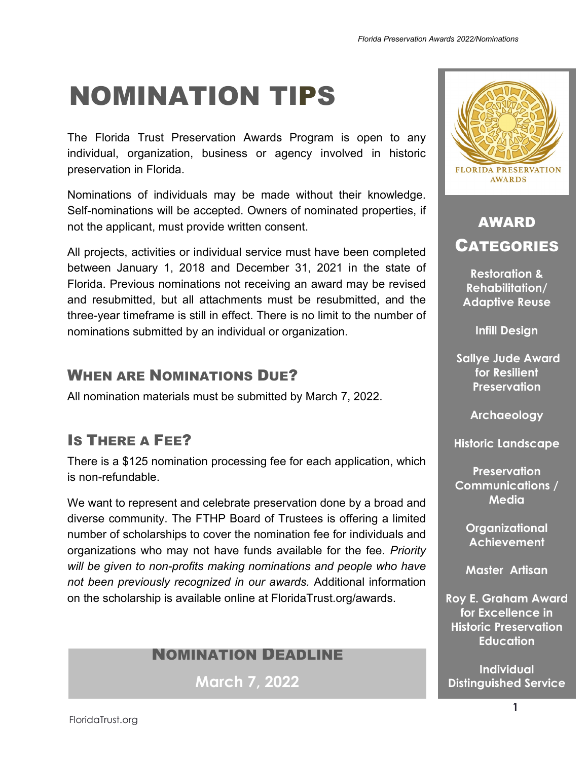# NOMINATION TIPS

The Florida Trust Preservation Awards Program is open to any individual, organization, business or agency involved in historic preservation in Florida.

Nominations of individuals may be made without their knowledge. Self-nominations will be accepted. Owners of nominated properties, if not the applicant, must provide written consent.

All projects, activities or individual service must have been completed between January 1, 2018 and December 31, 2021 in the state of Florida. Previous nominations not receiving an award may be revised and resubmitted, but all attachments must be resubmitted, and the three-year timeframe is still in effect. There is no limit to the number of nominations submitted by an individual or organization.

## WHEN ARE NOMINATIONS DUE?

All nomination materials must be submitted by March 7, 2022.

## IS THERE A FEE?

There is a \$125 nomination processing fee for each application, which is non-refundable.

We want to represent and celebrate preservation done by a broad and diverse community. The FTHP Board of Trustees is offering a limited number of scholarships to cover the nomination fee for individuals and organizations who may not have funds available for the fee. *Priority will be given to non-profits making nominations and people who have not been previously recognized in our awards.* Additional information on the scholarship is available online at FloridaTrust.org/awards.

### NOMINATION DEADLINE

**March 7, 2022**



## AWARD CATEGORIES

**Restoration & Rehabilitation/ Adaptive Reuse** 

**Infill Design**

**Sallye Jude Award for Resilient Preservation** 

**Archaeology**

**Historic Landscape**

**Preservation Communications / Media** 

> **Organizational Achievement**

**Master Artisan** 

**Roy E. Graham Award for Excellence in Historic Preservation Education** 

**Individual Distinguished Service**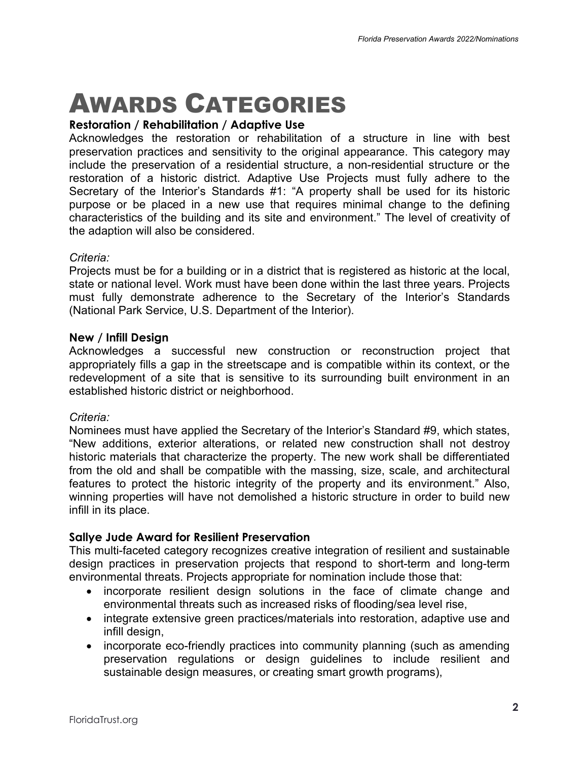# AWARDS CATEGORIES

#### **Restoration / Rehabilitation / Adaptive Use**

Acknowledges the restoration or rehabilitation of a structure in line with best preservation practices and sensitivity to the original appearance. This category may include the preservation of a residential structure, a non-residential structure or the restoration of a historic district. Adaptive Use Projects must fully adhere to the Secretary of the Interior's Standards #1: "A property shall be used for its historic purpose or be placed in a new use that requires minimal change to the defining characteristics of the building and its site and environment." The level of creativity of the adaption will also be considered.

#### *Criteria:*

Projects must be for a building or in a district that is registered as historic at the local, state or national level. Work must have been done within the last three years. Projects must fully demonstrate adherence to the Secretary of the Interior's Standards (National Park Service, U.S. Department of the Interior).

#### **New / Infill Design**

Acknowledges a successful new construction or reconstruction project that appropriately fills a gap in the streetscape and is compatible within its context, or the redevelopment of a site that is sensitive to its surrounding built environment in an established historic district or neighborhood.

#### *Criteria:*

Nominees must have applied the Secretary of the Interior's Standard #9, which states, "New additions, exterior alterations, or related new construction shall not destroy historic materials that characterize the property. The new work shall be differentiated from the old and shall be compatible with the massing, size, scale, and architectural features to protect the historic integrity of the property and its environment." Also, winning properties will have not demolished a historic structure in order to build new infill in its place.

#### **Sallye Jude Award for Resilient Preservation**

This multi-faceted category recognizes creative integration of resilient and sustainable design practices in preservation projects that respond to short-term and long-term environmental threats. Projects appropriate for nomination include those that:

- incorporate resilient design solutions in the face of climate change and environmental threats such as increased risks of flooding/sea level rise,
- integrate extensive green practices/materials into restoration, adaptive use and infill design,
- incorporate eco-friendly practices into community planning (such as amending preservation regulations or design guidelines to include resilient and sustainable design measures, or creating smart growth programs),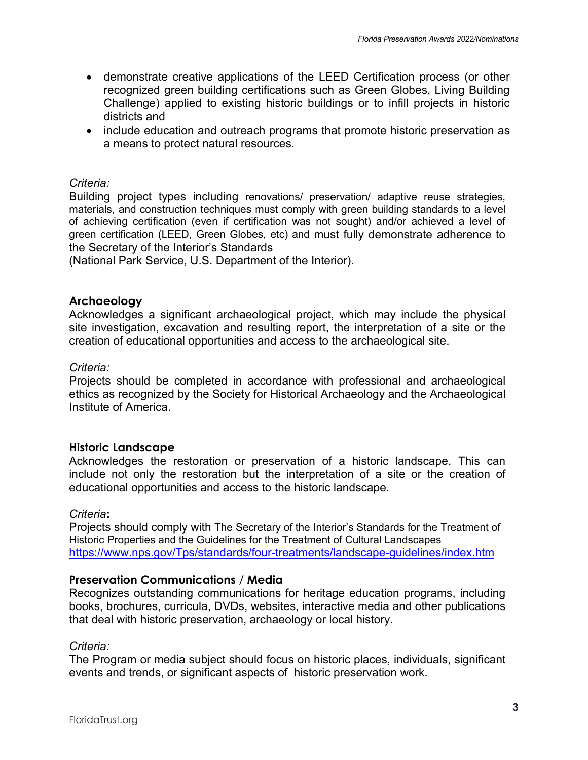- demonstrate creative applications of the LEED Certification process (or other recognized green building certifications such as Green Globes, Living Building Challenge) applied to existing historic buildings or to infill projects in historic districts and
- include education and outreach programs that promote historic preservation as a means to protect natural resources.

#### *Criteria:*

Building project types including renovations/ preservation/ adaptive reuse strategies, materials, and construction techniques must comply with green building standards to a level of achieving certification (even if certification was not sought) and/or achieved a level of green certification (LEED, Green Globes, etc) and must fully demonstrate adherence to the Secretary of the Interior's Standards

(National Park Service, U.S. Department of the Interior).

#### **Archaeology**

Acknowledges a significant archaeological project, which may include the physical site investigation, excavation and resulting report, the interpretation of a site or the creation of educational opportunities and access to the archaeological site.

#### *Criteria:*

Projects should be completed in accordance with professional and archaeological ethics as recognized by the Society for Historical Archaeology and the Archaeological Institute of America.

#### **Historic Landscape**

Acknowledges the restoration or preservation of a historic landscape. This can include not only the restoration but the interpretation of a site or the creation of educational opportunities and access to the historic landscape.

#### *Criteria***:**

Projects should comply with The Secretary of the Interior's Standards for the Treatment of Historic Properties and the Guidelines for the Treatment of Cultural Landscapes <https://www.nps.gov/Tps/standards/four-treatments/landscape-guidelines/index.htm>

#### **Preservation Communications** / **Media**

Recognizes outstanding communications for heritage education programs, including books, brochures, curricula, DVDs, websites, interactive media and other publications that deal with historic preservation, archaeology or local history.

#### *Criteria:*

The Program or media subject should focus on historic places, individuals, significant events and trends, or significant aspects of historic preservation work.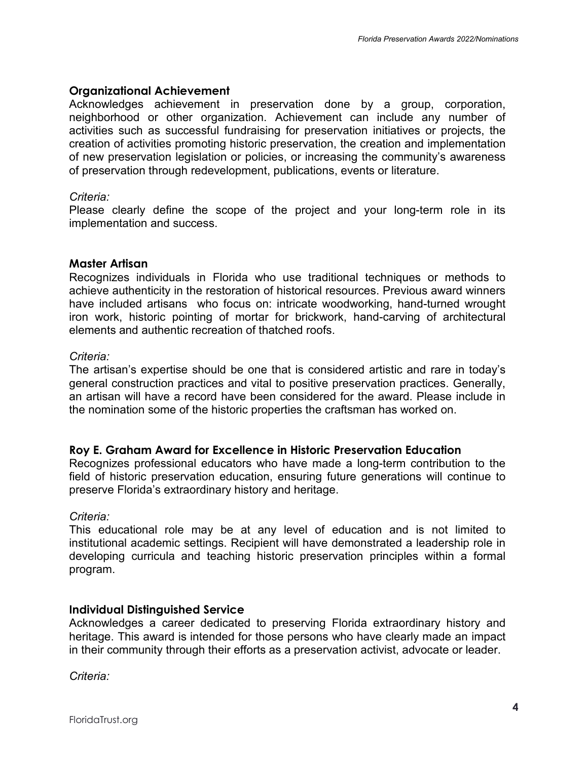#### **Organizational Achievement**

Acknowledges achievement in preservation done by a group, corporation, neighborhood or other organization. Achievement can include any number of activities such as successful fundraising for preservation initiatives or projects, the creation of activities promoting historic preservation, the creation and implementation of new preservation legislation or policies, or increasing the community's awareness of preservation through redevelopment, publications, events or literature.

#### *Criteria:*

Please clearly define the scope of the project and your long-term role in its implementation and success.

#### **Master Artisan**

Recognizes individuals in Florida who use traditional techniques or methods to achieve authenticity in the restoration of historical resources. Previous award winners have included artisans who focus on: intricate woodworking, hand-turned wrought iron work, historic pointing of mortar for brickwork, hand-carving of architectural elements and authentic recreation of thatched roofs.

#### *Criteria:*

The artisan's expertise should be one that is considered artistic and rare in today's general construction practices and vital to positive preservation practices. Generally, an artisan will have a record have been considered for the award. Please include in the nomination some of the historic properties the craftsman has worked on.

#### **Roy E. Graham Award for Excellence in Historic Preservation Education**

Recognizes professional educators who have made a long-term contribution to the field of historic preservation education, ensuring future generations will continue to preserve Florida's extraordinary history and heritage.

#### *Criteria:*

This educational role may be at any level of education and is not limited to institutional academic settings. Recipient will have demonstrated a leadership role in developing curricula and teaching historic preservation principles within a formal program.

#### **Individual Distinguished Service**

Acknowledges a career dedicated to preserving Florida extraordinary history and heritage. This award is intended for those persons who have clearly made an impact in their community through their efforts as a preservation activist, advocate or leader.

*Criteria:*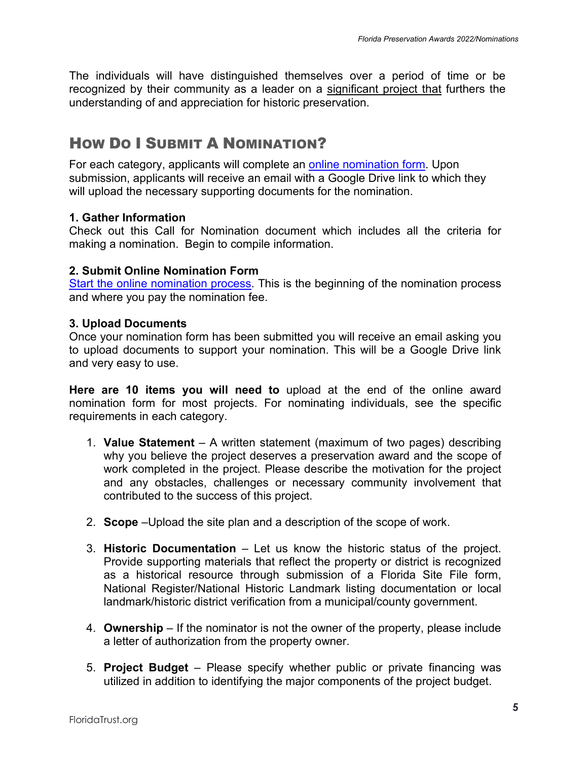The individuals will have distinguished themselves over a period of time or be recognized by their community as a leader on a significant project that furthers the understanding of and appreciation for historic preservation.

## HOW DO I SUBMIT A NOMINATION?

For each category, applicants will complete an [online nomination form.](https://www.cognitoforms.com/FloridaTrustForHistoricPreservation/_2021AwardsNomination) Upon submission, applicants will receive an email with a Google Drive link to which they will upload the necessary supporting documents for the nomination.

#### **1. Gather Information**

Check out this Call for Nomination document which includes all the criteria for making a nomination. Begin to compile information.

#### **2. Submit Online Nomination Form**

[Start the online nomination process.](https://www.cognitoforms.com/FloridaTrustForHistoricPreservation/_2021AwardsNomination) This is the beginning of the nomination process and where you pay the nomination fee.

#### **3. Upload Documents**

Once your nomination form has been submitted you will receive an email asking you to upload documents to support your nomination. This will be a Google Drive link and very easy to use.

**Here are 10 items you will need to** upload at the end of the online award nomination form for most projects. For nominating individuals, see the specific requirements in each category.

- 1. **Value Statement** A written statement (maximum of two pages) describing why you believe the project deserves a preservation award and the scope of work completed in the project. Please describe the motivation for the project and any obstacles, challenges or necessary community involvement that contributed to the success of this project.
- 2. **Scope** –Upload the site plan and a description of the scope of work.
- 3. **Historic Documentation** Let us know the historic status of the project. Provide supporting materials that reflect the property or district is recognized as a historical resource through submission of a Florida Site File form, National Register/National Historic Landmark listing documentation or local landmark/historic district verification from a municipal/county government.
- 4. **Ownership** If the nominator is not the owner of the property, please include a letter of authorization from the property owner.
- 5. **Project Budget** Please specify whether public or private financing was utilized in addition to identifying the major components of the project budget.